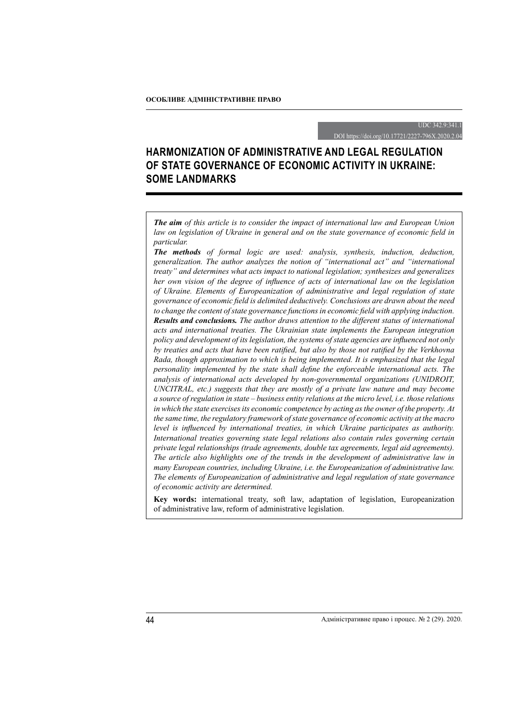UDC 342.9:341.1

DOI https://doi.org/10.17721/2227-796X.2020.2.04

# **HARMONIZATION OF ADMINISTRATIVE AND LEGAL REGULATION OF STATE GOVERNANCE OF ECONOMIC ACTIVITY IN UKRAINE: SOME LANDMARKS**

*The aim of this article is to consider the impact of international law and European Union law on legislation of Ukraine in general and on the state governance of economic field in particular.*

*The methods of formal logic are used: analysis, synthesis, induction, deduction, generalization. The author analyzes the notion of "international act" and "international treaty" and determines what acts impact to national legislation; synthesizes and generalizes her own vision of the degree of influence of acts of international law on the legislation of Ukraine. Elements of Europeanization of administrative and legal regulation of state governance of economic field is delimited deductively. Conclusions are drawn about the need to change the content of state governance functions in economic field with applying induction. Results and conclusions. The author draws attention to the different status of international acts and international treaties. The Ukrainian state implements the European integration policy and development of its legislation, the systems of state agencies are influenced not only by treaties and acts that have been ratified, but also by those not ratified by the Verkhovna Rada, though approximation to which is being implemented. It is emphasized that the legal personality implemented by the state shall define the enforceable international acts. The analysis of international acts developed by non-governmental organizations (UNIDROIT, UNCITRAL, etc.) suggests that they are mostly of a private law nature and may become a source of regulation in state – business entity relations at the micro level, i.e. those relations in which the state exercises its economic competence by acting as the owner of the property. At the same time, the regulatory framework of state governance of economic activity at the macro level is influenced by international treaties, in which Ukraine participates as authority. International treaties governing state legal relations also contain rules governing certain private legal relationships (trade agreements, double tax agreements, legal aid agreements). The article also highlights one of the trends in the development of administrative law in many European countries, including Ukraine, i.e. the Europeanization of administrative law. The elements of Europeanization of administrative and legal regulation of state governance of economic activity are determined.*

**Key words:** international treaty, soft law, adaptation of legislation, Europeanization of administrative law, reform of administrative legislation.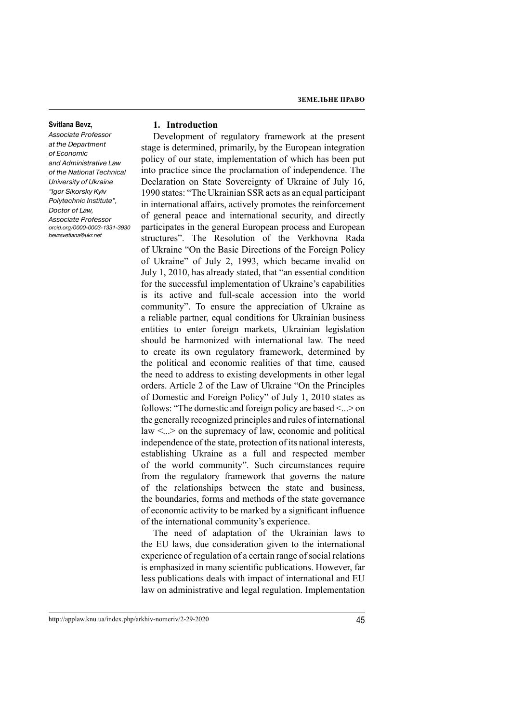#### **Svitlana Bevz,**

Associate Professor at the Department of Economic and Administrative Law of the National Technical University of Ukraine "Igor Sikorsky Kyiv Polytechnic Institute", Doctor of Law, Associate Professor orcid.org/0000-0003-1331-3930 bevzsvetlana@ukr.net

# **1. Introduction**

Development of regulatory framework at the present stage is determined, primarily, by the European integration policy of our state, implementation of which has been put into practice since the proclamation of independence. The Declaration on State Sovereignty of Ukraine of July 16, 1990 states: "The Ukrainian SSR acts as an equal participant in international affairs, actively promotes the reinforcement of general peace and international security, and directly participates in the general European process and European structures". The Resolution of the Verkhovna Rada of Ukraine "On the Basic Directions of the Foreign Policy of Ukraine" of July 2, 1993, which became invalid on July 1, 2010, has already stated, that "an essential condition for the successful implementation of Ukraine's capabilities is its active and full-scale accession into the world community". To ensure the appreciation of Ukraine as a reliable partner, equal conditions for Ukrainian business entities to enter foreign markets, Ukrainian legislation should be harmonized with international law. The need to create its own regulatory framework, determined by the political and economic realities of that time, caused the need to address to existing developments in other legal orders. Article 2 of the Law of Ukraine "On the Principles of Domestic and Foreign Policy" of July 1, 2010 states as follows: "The domestic and foreign policy are based <...> on the generally recognized principles and rules of international  $law < ... > on$  the supremacy of law, economic and political independence of the state, protection of its national interests, establishing Ukraine as a full and respected member of the world community". Such circumstances require from the regulatory framework that governs the nature of the relationships between the state and business, the boundaries, forms and methods of the state governance of economic activity to be marked by a significant influence of the international community's experience.

The need of adaptation of the Ukrainian laws to the EU laws, due consideration given to the international experience of regulation of a certain range of social relations is emphasized in many scientific publications. However, far less publications deals with impact of international and EU law on administrative and legal regulation. Implementation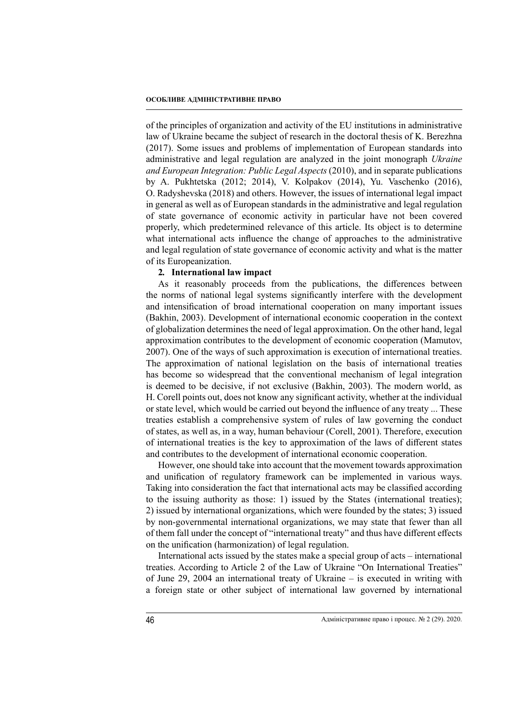of the principles of organization and activity of the EU institutions in administrative law of Ukraine became the subject of research in the doctoral thesis of K. Berezhna (2017). Some issues and problems of implementation of European standards into administrative and legal regulation are analyzed in the joint monograph *Ukraine and European Integration: Public Legal Aspects* (2010), and in separate publications by A. Pukhtetska (2012; 2014), V. Kolpakov (2014), Yu. Vaschenko (2016), O. Radyshevska (2018) and others. However, the issues of international legal impact in general as well as of European standards in the administrative and legal regulation of state governance of economic activity in particular have not been covered properly, which predetermined relevance of this article. Its object is to determine what international acts influence the change of approaches to the administrative and legal regulation of state governance of economic activity and what is the matter of its Europeanization.

# **2***.* **International law impact**

As it reasonably proceeds from the publications, the differences between the norms of national legal systems significantly interfere with the development and intensification of broad international cooperation on many important issues (Bakhin, 2003). Development of international economic cooperation in the context of globalization determines the need of legal approximation. On the other hand, legal approximation contributes to the development of economic cooperation (Mamutov, 2007). One of the ways of such approximation is execution of international treaties. The approximation of national legislation on the basis of international treaties has become so widespread that the conventional mechanism of legal integration is deemed to be decisive, if not exclusive (Bakhin, 2003). The modern world, as H. Corell points out, does not know any significant activity, whether at the individual or state level, which would be carried out beyond the influence of any treaty ... These treaties establish a comprehensive system of rules of law governing the conduct of states, as well as, in a way, human behaviour (Corell, 2001). Therefore, execution of international treaties is the key to approximation of the laws of different states and contributes to the development of international economic cooperation.

However, one should take into account that the movement towards approximation and unification of regulatory framework can be implemented in various ways. Taking into consideration the fact that international acts may be classified according to the issuing authority as those: 1) issued by the States (international treaties); 2) issued by international organizations, which were founded by the states; 3) issued by non-governmental international organizations, we may state that fewer than all of them fall under the concept of "international treaty" and thus have different effects on the unification (harmonization) of legal regulation.

International acts issued by the states make a special group of acts – international treaties. According to Article 2 of the Law of Ukraine "On International Treaties" of June 29, 2004 an international treaty of Ukraine – is executed in writing with a foreign state or other subject of international law governed by international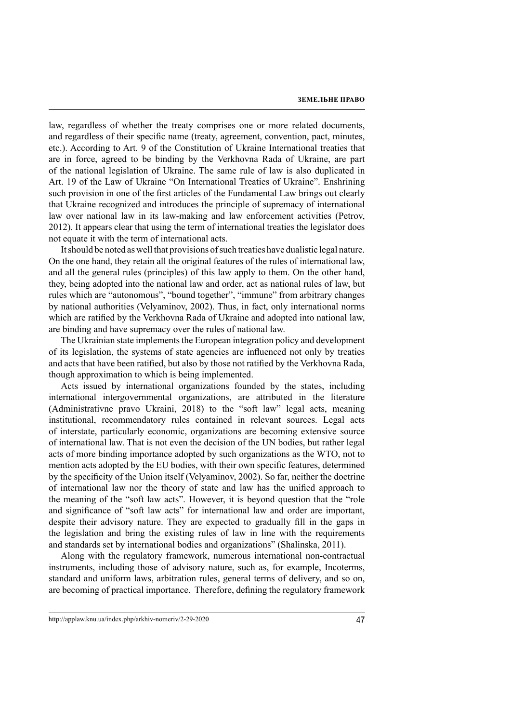law, regardless of whether the treaty comprises one or more related documents, and regardless of their specific name (treaty, agreement, convention, pact, minutes, etc.). According to Art. 9 of the Constitution of Ukraine International treaties that are in force, agreed to be binding by the Verkhovna Rada of Ukraine, are part of the national legislation of Ukraine. The same rule of law is also duplicated in Art. 19 of the Law of Ukraine "On International Treaties of Ukraine". Enshrining such provision in one of the first articles of the Fundamental Law brings out clearly that Ukraine recognized and introduces the principle of supremacy of international law over national law in its law-making and law enforcement activities (Petrov, 2012). It appears clear that using the term of international treaties the legislator does not equate it with the term of international acts.

It should be noted as well that provisions of such treaties have dualistic legal nature. On the one hand, they retain all the original features of the rules of international law, and all the general rules (principles) of this law apply to them. On the other hand, they, being adopted into the national law and order, act as national rules of law, but rules which are "autonomous", "bound together", "immune" from arbitrary changes by national authorities (Velyaminov, 2002). Thus, in fact, only international norms which are ratified by the Verkhovna Rada of Ukraine and adopted into national law, are binding and have supremacy over the rules of national law.

The Ukrainian state implements the European integration policy and development of its legislation, the systems of state agencies are influenced not only by treaties and acts that have been ratified, but also by those not ratified by the Verkhovna Rada, though approximation to which is being implemented.

Acts issued by international organizations founded by the states, including international intergovernmental organizations, are attributed in the literature (Administrativne pravo Ukraini, 2018) to the "soft law" legal acts, meaning institutional, recommendatory rules contained in relevant sources. Legal acts of interstate, particularly economic, organizations are becoming extensive source of international law. That is not even the decision of the UN bodies, but rather legal acts of more binding importance adopted by such organizations as the WTO, not to mention acts adopted by the EU bodies, with their own specific features, determined by the specificity of the Union itself (Velyaminov, 2002). So far, neither the doctrine of international law nor the theory of state and law has the unified approach to the meaning of the "soft law acts". However, it is beyond question that the "role and significance of "soft law acts" for international law and order are important, despite their advisory nature. They are expected to gradually fill in the gaps in the legislation and bring the existing rules of law in line with the requirements and standards set by international bodies and organizations" (Shalinska, 2011).

Along with the regulatory framework, numerous international non-contractual instruments, including those of advisory nature, such as, for example, Incoterms, standard and uniform laws, arbitration rules, general terms of delivery, and so on, are becoming of practical importance. Therefore, defining the regulatory framework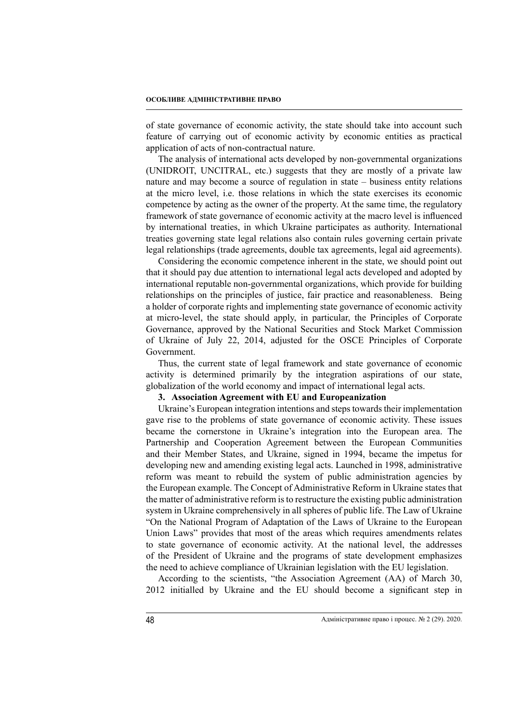of state governance of economic activity, the state should take into account such feature of carrying out of economic activity by economic entities as practical application of acts of non-contractual nature.

The analysis of international acts developed by non-governmental organizations (UNIDROIT, UNCITRAL, etc.) suggests that they are mostly of a private law nature and may become a source of regulation in state – business entity relations at the micro level, i.e. those relations in which the state exercises its economic competence by acting as the owner of the property. At the same time, the regulatory framework of state governance of economic activity at the macro level is influenced by international treaties, in which Ukraine participates as authority. International treaties governing state legal relations also contain rules governing certain private legal relationships (trade agreements, double tax agreements, legal aid agreements).

Considering the economic competence inherent in the state, we should point out that it should pay due attention to international legal acts developed and adopted by international reputable non-governmental organizations, which provide for building relationships on the principles of justice, fair practice and reasonableness. Being a holder of corporate rights and implementing state governance of economic activity at micro-level, the state should apply, in particular, the Principles of Corporate Governance, approved by the National Securities and Stock Market Commission of Ukraine of July 22, 2014, adjusted for the OSCE Principles of Corporate Government.

Thus, the current state of legal framework and state governance of economic activity is determined primarily by the integration aspirations of our state, globalization of the world economy and impact of international legal acts.

# **3. Association Agreement with EU and Europeanization**

Ukraine's European integration intentions and steps towards their implementation gave rise to the problems of state governance of economic activity. These issues became the cornerstone in Ukraine's integration into the European area. The Partnership and Cooperation Agreement between the European Communities and their Member States, and Ukraine, signed in 1994, became the impetus for developing new and amending existing legal acts. Launched in 1998, administrative reform was meant to rebuild the system of public administration agencies by the European example. The Concept of Administrative Reform in Ukraine states that the matter of administrative reform is to restructure the existing public administration system in Ukraine comprehensively in all spheres of public life. The Law of Ukraine "On the National Program of Adaptation of the Laws of Ukraine to the European Union Laws" provides that most of the areas which requires amendments relates to state governance of economic activity. At the national level, the addresses of the President of Ukraine and the programs of state development emphasizes the need to achieve compliance of Ukrainian legislation with the EU legislation.

According to the scientists, "the Association Agreement (AA) of March 30, 2012 initialled by Ukraine and the EU should become a significant step in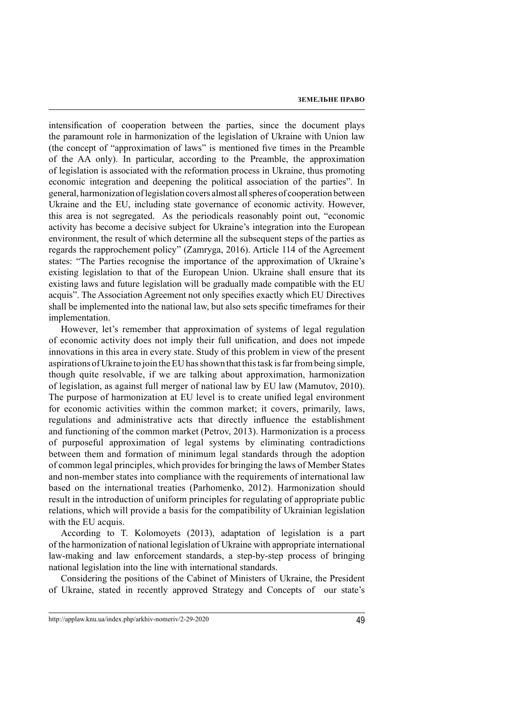intensification of cooperation between the parties, since the document plays the paramount role in harmonization of the legislation of Ukraine with Union law (the concept of "approximation of laws" is mentioned five times in the Preamble of the AA only). In particular, according to the Preamble, the approximation of legislation is associated with the reformation process in Ukraine, thus promoting economic integration and deepening the political association of the parties". In general, harmonization of legislation covers almost all spheres of cooperation between Ukraine and the EU, including state governance of economic activity. However, this area is not segregated. As the periodicals reasonably point out, "economic activity has become a decisive subject for Ukraine's integration into the European environment, the result of which determine all the subsequent steps of the parties as regards the rapprochement policy" (Zamryga, 2016). Article 114 of the Agreement states: "The Parties recognise the importance of the approximation of Ukraine's existing legislation to that of the European Union. Ukraine shall ensure that its existing laws and future legislation will be gradually made compatible with the EU acquis". The Association Agreement not only specifies exactly which EU Directives shall be implemented into the national law, but also sets specific timeframes for their implementation.

However, let's remember that approximation of systems of legal regulation of economic activity does not imply their full unification, and does not impede innovations in this area in every state. Study of this problem in view of the present aspirations of Ukraine to join the EU has shown that this task is far from being simple, though quite resolvable, if we are talking about approximation, harmonization of legislation, as against full merger of national law by EU law (Mamutov, 2010). The purpose of harmonization at EU level is to create unified legal environment for economic activities within the common market; it covers, primarily, laws, regulations and administrative acts that directly influence the establishment and functioning of the common market (Petrov, 2013). Harmonization is a process of purposeful approximation of legal systems by eliminating contradictions between them and formation of minimum legal standards through the adoption of common legal principles, which provides for bringing the laws of Member States and non-member states into compliance with the requirements of international law based on the international treaties (Parhomenko, 2012). Harmonization should result in the introduction of uniform principles for regulating of appropriate public relations, which will provide a basis for the compatibility of Ukrainian legislation with the EU acquis.

According to T. Kolomoyets (2013), adaptation of legislation is a part of the harmonization of national legislation of Ukraine with appropriate international law-making and law enforcement standards, a step-by-step process of bringing national legislation into the line with international standards.

Considering the positions of the Cabinet of Ministers of Ukraine, the President of Ukraine, stated in recently approved Strategy and Concepts of our state's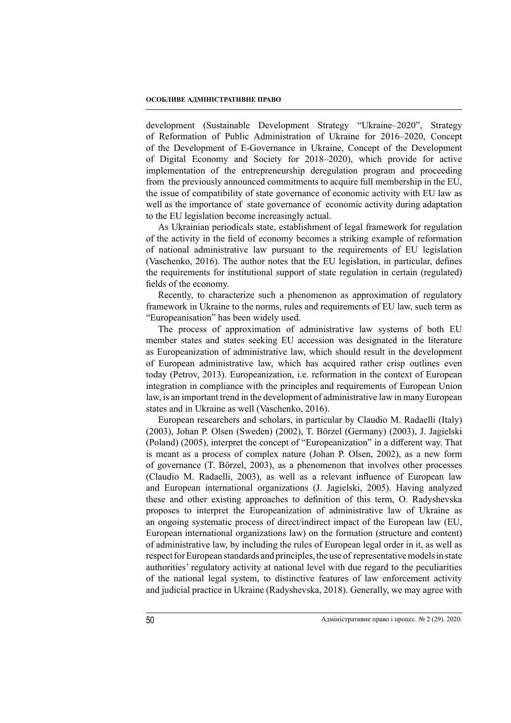development (Sustainable Development Strategy "Ukraine–2020", Strategy of Reformation of Public Administration of Ukraine for 2016–2020, Concept of the Development of E-Governance in Ukraine, Concept of the Development of Digital Economy and Society for 2018–2020), which provide for active implementation of the entrepreneurship deregulation program and proceeding from the previously announced commitments to acquire full membership in the EU, the issue of compatibility of state governance of economic activity with EU law as well as the importance of state governance of economic activity during adaptation to the EU legislation become increasingly actual.

As Ukrainian periodicals state, establishment of legal framework for regulation of the activity in the field of economy becomes a striking example of reformation of national administrative law pursuant to the requirements of EU legislation (Vaschenko, 2016). The author notes that the EU legislation, in particular, defines the requirements for institutional support of state regulation in certain (regulated) fields of the economy.

Recently, to characterize such a phenomenon as approximation of regulatory framework in Ukraine to the norms, rules and requirements of EU law, such term as "Europeanisation" has been widely used.

The process of approximation of administrative law systems of both EU member states and states seeking EU accession was designated in the literature as Europeanization of administrative law, which should result in the development of European administrative law, which has acquired rather crisp outlines even today (Petrov, 2013). Europeanization, i.e. reformation in the context of European integration in compliance with the principles and requirements of European Union law, is an important trend in the development of administrative law in many European states and in Ukraine as well (Vaschenko, 2016).

European researchers and scholars, in particular by Claudio M. Radaelli (Italy) (2003), Johan P. Olsen (Sweden) (2002), T. Börzel (Germany) (2003), J. Jagielski (Poland) (2005), interpret the concept of "Europeanization" in a different way. That is meant as a process of complex nature (Johan P. Olsen, 2002), as a new form of governance (T. Börzel, 2003), as a phenomenon that involves other processes (Claudio M. Radaelli, 2003), as well as a relevant influence of European law and European international organizations (J. Jagielski, 2005). Having analyzed these and other existing approaches to definition of this term, O. Radyshevska proposes to interpret the Europeanization of administrative law of Ukraine as an ongoing systematic process of direct/indirect impact of the European law (EU, European international organizations law) on the formation (structure and content) of administrative law, by including the rules of European legal order in it, as well as respect for European standards and principles, the use of representative models in state authorities' regulatory activity at national level with due regard to the peculiarities of the national legal system, to distinctive features of law enforcement activity and judicial practice in Ukraine (Radyshevska, 2018). Generally, we may agree with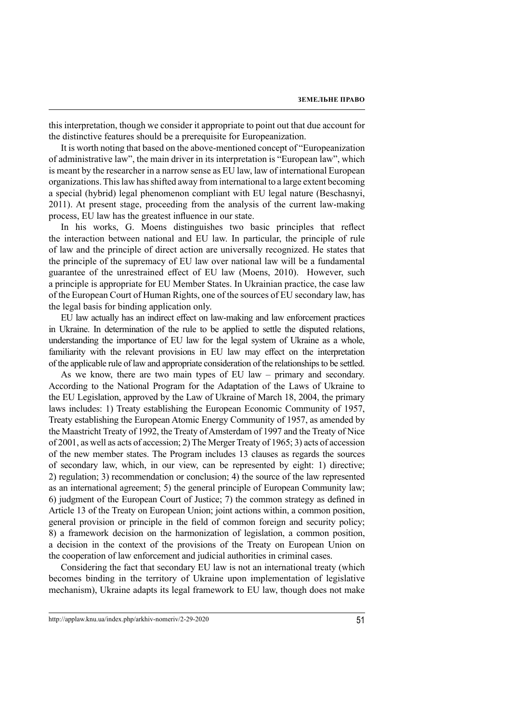this interpretation, though we consider it appropriate to point out that due account for the distinctive features should be a prerequisite for Europeanization.

It is worth noting that based on the above-mentioned concept of "Europeanization of administrative law", the main driver in its interpretation is "European law", which is meant by the researcher in a narrow sense as EU law, law of international European organizations. This law has shifted away from international to a large extent becoming a special (hybrid) legal phenomenon compliant with EU legal nature (Beschasnyi, 2011). At present stage, proceeding from the analysis of the current law-making process, EU law has the greatest influence in our state.

In his works, G. Moens distinguishes two basic principles that reflect the interaction between national and EU law. In particular, the principle of rule of law and the principle of direct action are universally recognized. He states that the principle of the supremacy of EU law over national law will be a fundamental guarantee of the unrestrained effect of EU law (Moens, 2010). However, such a principle is appropriate for EU Member States. In Ukrainian practice, the case law of the European Court of Human Rights, one of the sources of EU secondary law, has the legal basis for binding application only.

EU law actually has an indirect effect on law-making and law enforcement practices in Ukraine. In determination of the rule to be applied to settle the disputed relations, understanding the importance of EU law for the legal system of Ukraine as a whole, familiarity with the relevant provisions in EU law may effect on the interpretation of the applicable rule of law and appropriate consideration of the relationships to be settled.

As we know, there are two main types of EU law – primary and secondary. According to the National Program for the Adaptation of the Laws of Ukraine to the EU Legislation, approved by the Law of Ukraine of March 18, 2004, the primary laws includes: 1) Treaty establishing the European Economic Community of 1957, Treaty establishing the European Atomic Energy Community of 1957, as amended by the Maastricht Treaty of 1992, the Treaty of Amsterdam of 1997 and the Treaty of Nice of 2001, as well as acts of accession; 2) The Merger Treaty of 1965; 3) acts of accession of the new member states. The Program includes 13 clauses as regards the sources of secondary law, which, in our view, can be represented by eight: 1) directive; 2) regulation; 3) recommendation or conclusion; 4) the source of the law represented as an international agreement; 5) the general principle of European Community law; 6) judgment of the European Court of Justice; 7) the common strategy as defined in Article 13 of the Treaty on European Union; joint actions within, a common position, general provision or principle in the field of common foreign and security policy; 8) a framework decision on the harmonization of legislation, a common position, a decision in the context of the provisions of the Treaty on European Union on the cooperation of law enforcement and judicial authorities in criminal cases.

Considering the fact that secondary EU law is not an international treaty (which becomes binding in the territory of Ukraine upon implementation of legislative mechanism), Ukraine adapts its legal framework to EU law, though does not make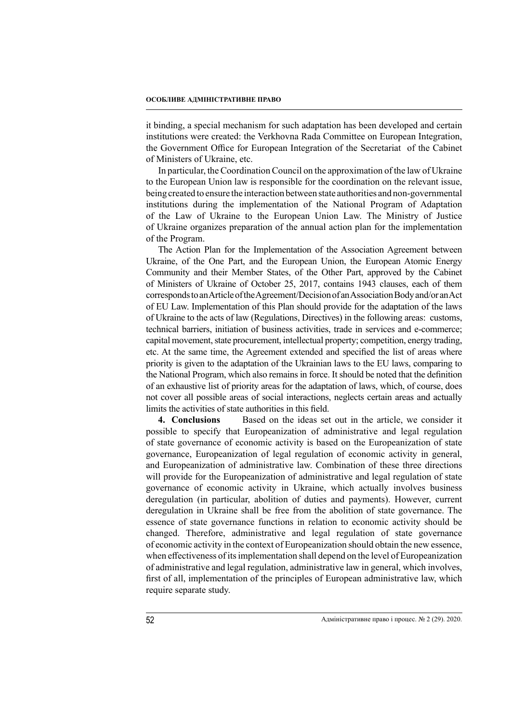it binding, a special mechanism for such adaptation has been developed and certain institutions were created: the Verkhovna Rada Committee on European Integration, the Government Office for European Integration of the Secretariat of the Cabinet of Ministers of Ukraine, etc.

In particular, the Coordination Council on the approximation of the law of Ukraine to the European Union law is responsible for the coordination on the relevant issue, being created to ensure the interaction between state authorities and non-governmental institutions during the implementation of the National Program of Adaptation of the Law of Ukraine to the European Union Law. The Ministry of Justice of Ukraine organizes preparation of the annual action plan for the implementation of the Program.

The Action Plan for the Implementation of the Association Agreement between Ukraine, of the One Part, and the European Union, the European Atomic Energy Community and their Member States, of the Other Part, approved by the Cabinet of Ministers of Ukraine of October 25, 2017, contains 1943 clauses, each of them corresponds to an Article of the Agreement/Decision of an Association Body and/or an Act of EU Law. Implementation of this Plan should provide for the adaptation of the laws of Ukraine to the acts of law (Regulations, Directives) in the following areas: customs, technical barriers, initiation of business activities, trade in services and e-commerce; capital movement, state procurement, intellectual property; competition, energy trading, etc. At the same time, the Agreement extended and specified the list of areas where priority is given to the adaptation of the Ukrainian laws to the EU laws, comparing to the National Program, which also remains in force. It should be noted that the definition of an exhaustive list of priority areas for the adaptation of laws, which, of course, does not cover all possible areas of social interactions, neglects certain areas and actually limits the activities of state authorities in this field.

**4. Conclusions** Based on the ideas set out in the article, we consider it possible to specify that Europeanization of administrative and legal regulation of state governance of economic activity is based on the Europeanization of state governance, Europeanization of legal regulation of economic activity in general, and Europeanization of administrative law. Combination of these three directions will provide for the Europeanization of administrative and legal regulation of state governance of economic activity in Ukraine, which actually involves business deregulation (in particular, abolition of duties and payments). However, current deregulation in Ukraine shall be free from the abolition of state governance. The essence of state governance functions in relation to economic activity should be changed. Therefore, administrative and legal regulation of state governance of economic activity in the context of Europeanization should obtain the new essence, when effectiveness of its implementation shall depend on the level of Europeanization of administrative and legal regulation, administrative law in general, which involves, first of all, implementation of the principles of European administrative law, which require separate study.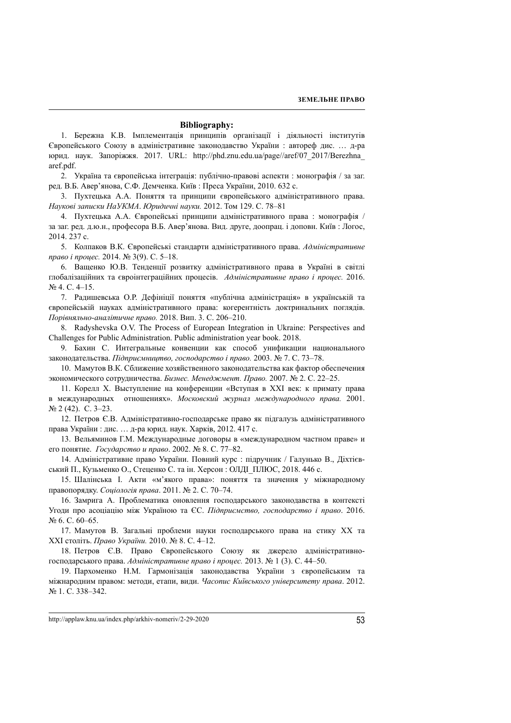#### **Bibliography:**

1. Бережна К.В. Імплементація принципів організації і діяльності інститутів Європейського Союзу в адміністративне законодавство України : автореф дис. … д-ра юрид. наук. Запоріжжя. 2017. URL: http://phd.znu.edu.ua/page//aref/07\_2017/Berezhna\_ aref.pdf.

2. Україна та європейська інтеграція: публічно-правові аспекти : монографія / за заг. ред. В.Б. Авер'янова, С.Ф. Демченка. Київ : Преса України, 2010. 632 с.

3. Пухтецька А.А. Поняття та принципи європейського адміністративного права. *Наукові записки НаУКМА*. *Юридичні науки.* 2012. Том 129. С. 78–81

4. Пухтецька А.А. Європейські принципи адміністративного права : монографія / за заг. ред. д.ю.н., професора В.Б. Авер'янова. Вид. друге, доопрац. і доповн. Київ : Логос, 2014. 237 с.

5. Колпаков В.К. Європейські стандарти адміністративного права. *Адміністративне право і процес.* 2014. № 3(9). С. 5–18.

6. Ващенко Ю.В. Тенденції розвитку адміністративного права в Україні в світлі глобалізаційних та євроінтеграційних процесів. *Адміністративне право і процес.* 2016. № 4. С. 4–15.

7. Радишевська О.Р. Дефініції поняття «публічна адміністрація» в українській та європейській науках адміністративного права: когерентність доктринальних поглядів. *Порівняльно-аналітичне право.* 2018. Вип. 3. С. 206–210.

8. Radyshevska O.V. The Process of European Integration in Ukraine: Perspectives and Challenges for Public Administration. Public administration year book. 2018.

9. Бахин С. Интегральные конвенции как способ унификации национального законодательства. *Підприємництво, господарство і право.* 2003. № 7. С. 73–78.

10. Мамутов В.К. Сближение хозяйственного законодательства как фактор обеспечения экономического сотрудничества. *Бизнес. Менеджмент. Право.* 2007. № 2. С. 22–25.

11. Корелл Х. Выступление на конференции «Вступая в XXI век: к примату права в международных отношениях». *Московский журнал международного права.* 2001. № 2 (42). С. 3–23.

12. Петров Є.В. Адміністративно-господарське право як підгалузь адміністративного права України : дис. … д-ра юрид. наук. Харків, 2012. 417 с.

13. Вельяминов Г.М. Международные договоры в «международном частном праве» и его понятие. *Государство и право*. 2002. № 8. С. 77–82.

14. Адміністративне право України. Повний курс : підручник / Галунько В., Діхтієвський П., Кузьменко О., Стеценко С. та ін. Херсон : ОЛДІ\_ПЛЮС, 2018. 446 с.

15. Шалінська І. Акти «м'якого права»: поняття та значення у міжнародному правопорядку. *Соціологія права*. 2011. № 2. С. 70–74.

16. Замрига А. Проблематика оновлення господарського законодавства в контексті Угоди про асоціацію між Україною та ЄС. *Підприємство, господарство і право*. 2016. № 6. С. 60–65.

17. Мамутов В. Загальні проблеми науки господарського права на стику XX та XXI століть. *Право України.* 2010. № 8. С. 4–12.

18. Петров Є.В. Право Європейського Союзу як джерело адміністративногосподарського права. *Адміністративне право і процес.* 2013. № 1 (3). С. 44–50.

19. Пархоменко Н.М. Гармонізація законодавства України з європейським та міжнародним правом: методи, етапи, види. *Часопис Київського університету права*. 2012. № 1. С. 338–342.

http://applaw.knu.ua/index.php/arkhiv-nomeriv/2-29-2020 53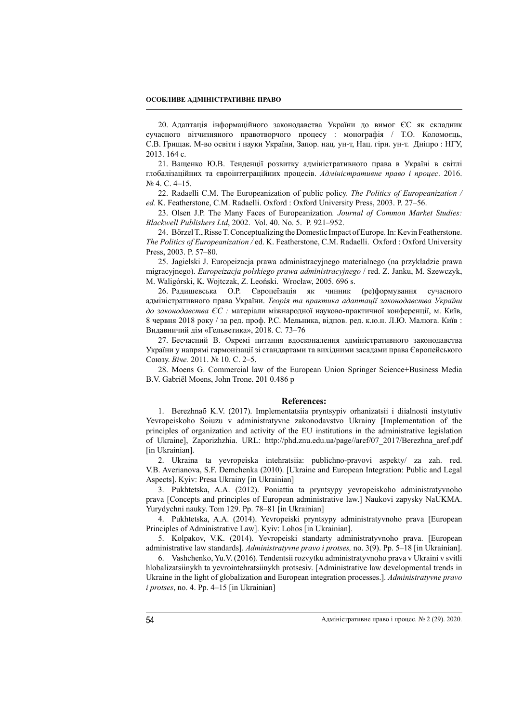### **ОСОБЛИВЕ АДМІНІСТРАТИВНЕ ПРАВО**

20. Адаптація інформаційного законодавства України до вимог ЄС як складник сучасного вітчизняного правотворчого процесу : монографія / Т.О. Коломоєць, С.В. Грищак. М-во освіти і науки України, Запор. нац. ун-т, Нац. гірн. ун-т. Дніпро : НГУ, 2013. 164 с.

21. Ващенко Ю.В. Тенденції розвитку адміністративного права в Україні в світлі глобалізаційних та євроінтеграційних процесів. *Адміністративне право і процес*. 2016. № 4. С. 4–15.

22. Radaelli C.M. The Europeanization of public policy. *The Politics of Europeanization / ed.* K. Featherstone, C.M. Radaelli. Oxford : Oxford University Press, 2003. P. 27–56.

23. Olsen J.P. The Many Faces of Europeanization*. Journal of Common Market Studies: Blackwell Publishers Ltd*, 2002. Vol. 40. No. 5. P. 921–952.

24. Börzel T., Risse T. Conceptualizing the Domestic Impact of Europe. In: Kevin Featherstone. *The Politics of Europeanization /* ed. K. Featherstone, C.M. Radaelli. Oxford : Oxford University Press, 2003. P. 57–80.

25. Jagielski J. Europeizacja prawa administracyjnego materialnego (na przykładzie prawa migracyjnego). *Europeizacja polskiego prawa administracyjnego* / red. Z. Janku, M. Szewczyk, M. Waligórski, K. Wojtczak, Z. Leoński. Wrocław, 2005. 696 s.

26. Радишевська О.Р. Європеїзація як чинник (ре)формування сучасного адміністративного права України. *Теорія та практика адаптації законодавства України до законодавства ЄС :* матеріали міжнародної науково-практичної конференції, м. Київ, 8 червня 2018 року / за ред. проф. Р.С. Мельника, відпов. ред. к.ю.н. Л.Ю. Малюга. Київ : Видавничий дім «Гельветика», 2018. С. 73–76

27. Бесчасний В. Окремі питання вдосконалення адміністративного законодавства України у напрямі гармонізації зі стандартами та вихідними засадами права Європейського Союзу. *Віче.* 2011. № 10. С. 2–5.

28. Moens G. Commercial law of the European Union Springer Science+Business Media B.V. Gabriël Moens, John Trone. 201 0.486 p

#### **References:**

1. Berezhnaб K.V. (2017). Implementatsiia pryntsypiv orhanizatsii i diialnosti instytutiv Yevropeiskoho Soiuzu v administratyvne zakonodavstvo Ukrainy [Implementation of the principles of organization and activity of the EU institutions in the administrative legislation of Ukraine], Zaporizhzhia. URL: http://phd.znu.edu.ua/page//aref/07\_2017/Berezhna\_aref.pdf [in Ukrainian].

2. Ukraina ta yevropeiska intehratsiia: publichno-pravovi aspekty/ za zah. red. V.B. Averianova, S.F. Demchenka (2010). [Ukraine and European Integration: Public and Legal Aspects]. Kyiv: Presa Ukrainy [in Ukrainian]

3. Pukhtetska, A.A. (2012). Poniattia ta pryntsypy yevropeiskoho administratyvnoho prava [Concepts and principles of European administrative law.] Naukovi zapysky NaUKMA. Yurydychni nauky. Tom 129. Pp. 78–81 [in Ukrainian]

4. Pukhtetska, A.A. (2014). Yevropeiski pryntsypy administratyvnoho prava [European Principles of Administrative Law]. Kyiv: Lohos [in Ukrainian].

5. Kolpakov, V.K. (2014). Yevropeiski standarty administratyvnoho prava. [European administrative law standards]. *Administratyvne pravo i protses,* no. 3(9). Pp. 5–18 [in Ukrainian].

6. Vashchenko, Yu.V. (2016). Tendentsii rozvytku administratyvnoho prava v Ukraini v svitli hlobalizatsiinykh ta yevrointehratsiinykh protsesiv. [Administrative law developmental trends in Ukraine in the light of globalization and European integration processes.]. *Administratyvne pravo i protses*, no. 4. Pp. 4–15 [in Ukrainian]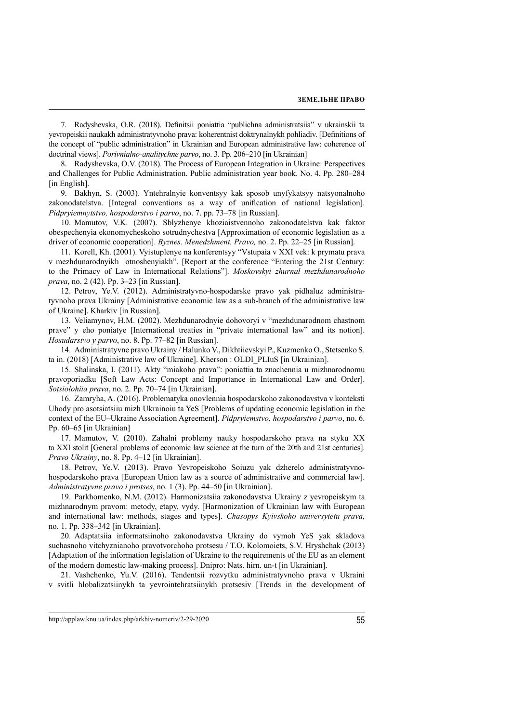7. Radyshevska, O.R. (2018). Definitsii poniattia "publichna administratsiia" v ukrainskii ta yevropeiskii naukakh administratyvnoho prava: koherentnist doktrynalnykh pohliadiv. [Definitions of the concept of "public administration" in Ukrainian and European administrative law: coherence of doctrinal views]. *Porivnialno-analitychne parvo*, no. 3. Pp. 206–210 [in Ukrainian]

8. Radyshevska, O.V. (2018). The Process of European Integration in Ukraine: Perspectives and Challenges for Public Administration. Public administration year book. No. 4. Pp. 280–284 [in English].

9. Bakhyn, S. (2003). Yntehralnyie konventsyy kak sposob unyfykatsyy natsyonalnoho zakonodatelstva. [Integral conventions as a way of unification of national legislation]. *Pidpryiemnytstvo, hospodarstvo i parvo*, no. 7. pp. 73–78 [in Russian].

10. Mamutov, V.K. (2007). Sblyzhenye khoziaistvennoho zakonodatelstva kak faktor obespechenyia ekonomycheskoho sotrudnychestva [Approximation of economic legislation as a driver of economic cooperation]. *Byznes. Menedzhment. Pravo,* no. 2. Pp. 22–25 [in Russian].

11. Korell, Kh. (2001). Vyistuplenye na konferentsyy "Vstupaia v XXI vek: k prymatu prava v mezhdunarodnyikh otnoshenyiakh". [Report at the conference "Entering the 21st Century: to the Primacy of Law in International Relations"]. *Moskovskyi zhurnal mezhdunarodnoho prava*, no. 2 (42). Pp. 3–23 [in Russian].

12. Petrov, Ye.V. (2012). Administratyvno-hospodarske pravo yak pidhaluz administratyvnoho prava Ukrainy [Administrative economic law as a sub-branch of the administrative law of Ukraine]. Kharkiv [in Russian].

13. Veliamynov, H.M. (2002). Mezhdunarodnyie dohovoryi v "mezhdunarodnom chastnom prave" y eho poniatye [International treaties in "private international law" and its notion]. *Hosudarstvo y parvo*, no. 8. Pp. 77–82 [in Russian].

14. Administratyvne pravo Ukrainy / Halunko V., Dikhtiievskyi P., Kuzmenko O., Stetsenko S. ta in. (2018) [Administrative law of Ukraine]. Kherson : OLDI\_PLIuS [in Ukrainian].

15. Shalinska, I. (2011). Akty "miakoho prava": poniattia ta znachennia u mizhnarodnomu pravoporiadku [Soft Law Acts: Concept and Importance in International Law and Order]. *Sotsiolohiia prava*, no. 2. Pp. 70–74 [in Ukrainian].

16. Zamryha, A. (2016). Problematyka onovlennia hospodarskoho zakonodavstva v konteksti Uhody pro asotsiatsiiu mizh Ukrainoiu ta YeS [Problems of updating economic legislation in the context of the EU–Ukraine Association Agreement]. *Pidpryiemstvo, hospodarstvo i parvo*, no. 6. Pp. 60–65 [in Ukrainian]

17. Mamutov, V. (2010). Zahalni problemy nauky hospodarskoho prava na styku XX ta XXI stolit [General problems of economic law science at the turn of the 20th and 21st centuries]. *Pravo Ukrainy*, no. 8. Pp. 4–12 [in Ukrainian].

18. Petrov, Ye.V. (2013). Pravo Yevropeiskoho Soiuzu yak dzherelo administratyvnohospodarskoho prava [European Union law as a source of administrative and commercial law]. *Administratyvne pravo i protses*, no. 1 (3). Pp. 44–50 [in Ukrainian].

19. Parkhomenko, N.M. (2012). Harmonizatsiia zakonodavstva Ukrainy z yevropeiskym ta mizhnarodnym pravom: metody, etapy, vydy. [Harmonization of Ukrainian law with European and international law: methods, stages and types]. *Chasopys Kyivskoho universytetu prava,* no. 1. Pp. 338–342 [in Ukrainian].

20. Adaptatsiia informatsiinoho zakonodavstva Ukrainy do vymoh YeS yak skladova suchasnoho vitchyznianoho pravotvorchoho protsesu / T.O. Kolomoiets, S.V. Hryshchak (2013) [Adaptation of the information legislation of Ukraine to the requirements of the EU as an element of the modern domestic law-making process]. Dnipro: Nats. hirn. un-t [in Ukrainian].

21. Vashchenko, Yu.V. (2016). Tendentsii rozvytku administratyvnoho prava v Ukraini v svitli hlobalizatsiinykh ta yevrointehratsiinykh protsesiv [Trends in the development of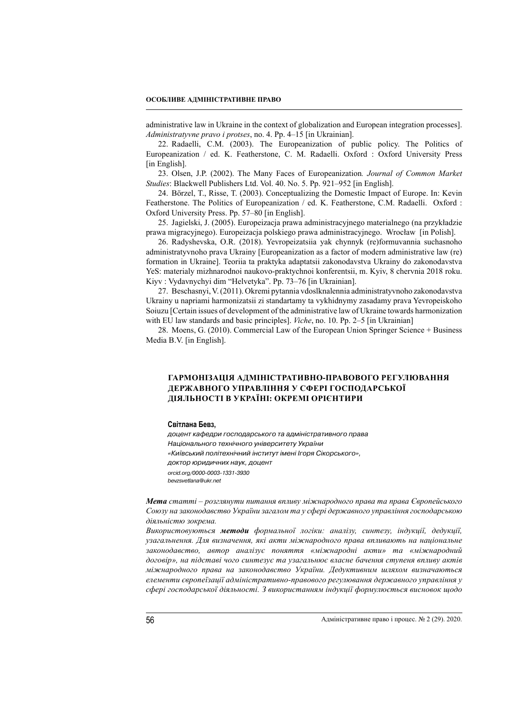### **ОСОБЛИВЕ АДМІНІСТРАТИВНЕ ПРАВО**

administrative law in Ukraine in the context of globalization and European integration processes]. *Administratyvne pravo i protses*, no. 4. Pp. 4–15 [in Ukrainian].

22. Radaelli, C.M. (2003). The Europeanization of public policy. The Politics of Europeanization / ed. K. Featherstone, C. M. Radaelli. Oxford : Oxford University Press [in English].

23. Olsen, J.P. (2002). The Many Faces of Europeanization*. Journal of Common Market Studies*: Blackwell Publishers Ltd. Vol. 40. No. 5. Pp. 921–952 [in English].

24. Börzel, T., Risse, T. (2003). Conceptualizing the Domestic Impact of Europe. In: Kevin Featherstone. The Politics of Europeanization / ed. K. Featherstone, C.M. Radaelli. Oxford : Oxford University Press. Pp. 57–80 [in English].

25. Jagielski, J. (2005). Europeizacja prawa administracyjnego materialnego (na przykładzie prawa migracyjnego). Europeizacja polskiego prawa administracyjnego. Wrocław [in Polish].

26. Radyshevska, O.R. (2018). Yevropeizatsiia yak chynnyk (re)formuvannia suchasnoho administratyvnoho prava Ukrainy [Europeanization as a factor of modern administrative law (re) formation in Ukraine]. Teoriia ta praktyka adaptatsii zakonodavstva Ukrainy do zakonodavstva YeS: materialy mizhnarodnoi naukovo-praktychnoi konferentsii, m. Kyiv, 8 chervnia 2018 roku. Kiyv : Vydavnychyi dim "Helvetyka". Pp. 73–76 [in Ukrainian].

27. Beschasnyi, V. (2011). Okremi pytannia vdoslknalennia administratyvnoho zakonodavstva Ukrainy u napriami harmonizatsii zi standartamy ta vykhidnymy zasadamy prava Yevropeiskoho Soiuzu [Certain issues of development of the administrative law of Ukraine towards harmonization with EU law standards and basic principles]. *Viche*, no. 10. Pp. 2–5 [in Ukrainian]

28. Moens, G. (2010). Commercial Law of the European Union Springer Science + Business Media B.V. [in English].

## **ГАРМОНІЗАЦІЯ АДМІНІСТРАТИВНО-ПРАВОВОГО РЕГУЛЮВАННЯ ДЕРЖАВНОГО УПРАВЛІННЯ У СФЕРІ ГОСПОДАРСЬКОЇ ДІЯЛЬНОСТІ В УКРАЇНІ: ОКРЕМІ ОРІЄНТИРИ**

#### **Світлана Бевз,**

доцент кафедри господарського та адміністративного права Національного технічного університету України «Київський політехнічний інститут імені Ігоря Сікорського», доктор юридичних наук, доцент orcid.org/0000-0003-1331-3930 bevzsvetlana@ukr.net

*Мета статті – розглянути питання впливу міжнародного права та права Європейського Союзу на законодавство України загалом та у сфері державного управління господарською діяльністю зокрема.*

*Використовуються методи формальної логіки: аналізу, синтезу, індукції, дедукції, узагальнення. Для визначення, які акти міжнародного права впливають на національне законодавство, автор аналізує поняття «міжнародні акти» та «міжнародний договір», на підставі чого синтезує та узагальнює власне бачення ступеня впливу актів міжнародного права на законодавство України. Дедуктивним шляхом визначаються елементи європеїзації адміністративно-правового регулювання державного управління у сфері господарської діяльності. З використанням індукції формулюється висновок щодо*